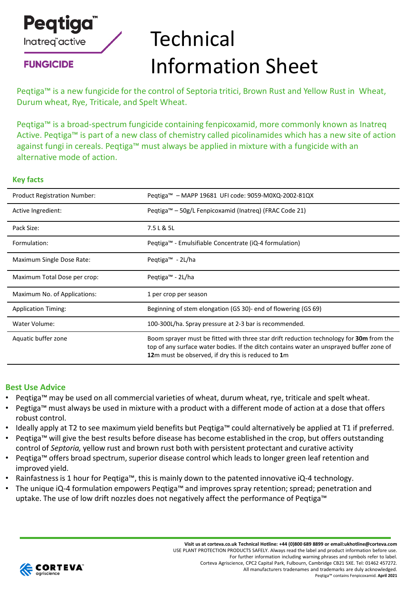

**FUNGICIDE** 

# **Technical** Information Sheet

Peqtiga™ is a new fungicide for the control of Septoria tritici, Brown Rust and Yellow Rust in Wheat, Durum wheat, Rye, Triticale, and Spelt Wheat.

Peqtiga™ is a broad-spectrum fungicide containing fenpicoxamid, more commonly known as Inatreq Active. Peqtiga™ is part of a new class of chemistry called picolinamides which has a new site of action against fungi in cereals. Peqtiga™ must always be applied in mixture with a fungicide with an alternative mode of action.

#### **Key facts**

| <b>Product Registration Number:</b> | Peqtiga™ – MAPP 19681 UFI code: 9059-M0XQ-2002-81QX                                                                                                                                                                                       |
|-------------------------------------|-------------------------------------------------------------------------------------------------------------------------------------------------------------------------------------------------------------------------------------------|
| Active Ingredient:                  | Pegtiga™ – 50g/L Fenpicoxamid (Inatreg) (FRAC Code 21)                                                                                                                                                                                    |
| Pack Size:                          | 7.5 L & 5L                                                                                                                                                                                                                                |
| Formulation:                        | Pegtiga™ - Emulsifiable Concentrate (iQ-4 formulation)                                                                                                                                                                                    |
| Maximum Single Dose Rate:           | Pegtiga <sup>™</sup> - 2L/ha                                                                                                                                                                                                              |
| Maximum Total Dose per crop:        | Peqtiga™ - 2L/ha                                                                                                                                                                                                                          |
| Maximum No. of Applications:        | 1 per crop per season                                                                                                                                                                                                                     |
| <b>Application Timing:</b>          | Beginning of stem elongation (GS 30)- end of flowering (GS 69)                                                                                                                                                                            |
| Water Volume:                       | 100-300L/ha. Spray pressure at 2-3 bar is recommended.                                                                                                                                                                                    |
| Aquatic buffer zone                 | Boom sprayer must be fitted with three star drift reduction technology for 30m from the<br>top of any surface water bodies. If the ditch contains water an unsprayed buffer zone of<br>12m must be observed, if dry this is reduced to 1m |

### **Best Use Advice**

- Peqtiga™ may be used on all commercial varieties of wheat, durum wheat, rye, triticale and spelt wheat.
- Pegtiga™ must always be used in mixture with a product with a different mode of action at a dose that offers robust control.
- Ideally apply at T2 to see maximum yield benefits but Peqtiga™ could alternatively be applied at T1 if preferred.
- Peqtiga™ will give the best results before disease has become established in the crop, but offers outstanding control of *Septoria,* yellow rust and brown rust both with persistent protectant and curative activity
- Peqtiga™ offers broad spectrum, superior disease control which leads to longer green leaf retention and improved yield.
- Rainfastness is 1 hour for Peqtiga™, this is mainly down to the patented innovative iQ-4 technology.
- The unique iQ-4 formulation empowers Peqtiga™ and improves spray retention; spread; penetration and uptake. The use of low drift nozzles does not negatively affect the performance of Peqtiga™